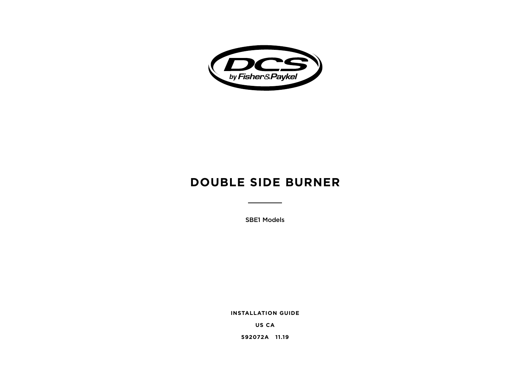

# **DOUBLE SIDE BURNER**

SBE1 Models

**INSTALLATION GUIDE**

**US CA**

**592072A 11.19**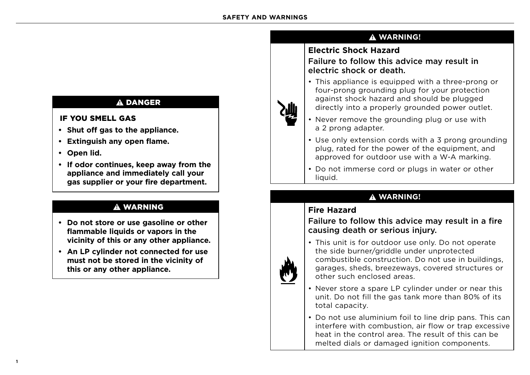# **!** DANGER

### IF YOU SMELL GAS

- **• Shut off gas to the appliance.**
- **• Extinguish any open flame.**
- **• Open lid.**
- **• If odor continues, keep away from the appliance and immediately call your gas supplier or your fire department.**

# **!** WARNING

- **• Do not store or use gasoline or other flammable liquids or vapors in the vicinity of this or any other appliance.**
- **• An LP cylinder not connected for use must not be stored in the vicinity of this or any other appliance.**



# **Electric Shock Hazard**

Failure to follow this advice may result in electric shock or death.

- This appliance is equipped with a three-prong or four-prong grounding plug for your protection against shock hazard and should be plugged directly into a properly grounded power outlet.
- Never remove the grounding plug or use with a 2 prong adapter.
- Use only extension cords with a 3 prong grounding plug, rated for the power of the equipment, and approved for outdoor use with a W-A marking.
- Do not immerse cord or plugs in water or other liauid.

# **! WARNING!**

# **Fire Hazard**

# Failure to follow this advice may result in a fire causing death or serious injury.



• This unit is for outdoor use only. Do not operate the side burner/griddle under unprotected combustible construction. Do not use in buildings, garages, sheds, breezeways, covered structures or other such enclosed areas.

- Never store a spare LP cylinder under or near this unit. Do not fill the gas tank more than 80% of its total capacity.
- Do not use aluminium foil to line drip pans. This can interfere with combustion, air flow or trap excessive heat in the control area. The result of this can be melted dials or damaged ignition components.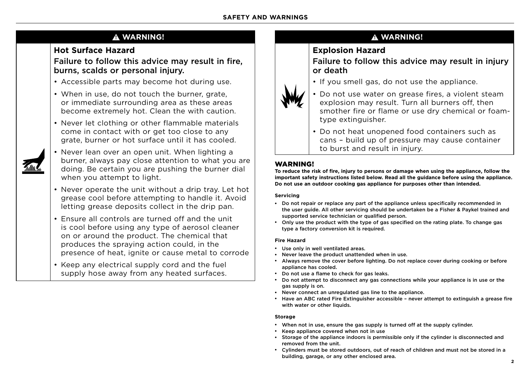# **! WARNING!**

# **Hot Surface Hazard**

# Failure to follow this advice may result in fire, burns, scalds or personal injury.

- Accessible parts may become hot during use.
- When in use, do not touch the burner, grate, or immediate surrounding area as these areas become extremely hot. Clean the with caution.
- Never let clothing or other flammable materials come in contact with or get too close to any grate, burner or hot surface until it has cooled.
- Never lean over an open unit. When lighting a burner, always pay close attention to what you are doing. Be certain you are pushing the burner dial when you attempt to light.
- Never operate the unit without a drip tray. Let hot grease cool before attempting to handle it. Avoid letting grease deposits collect in the drip pan.
- Ensure all controls are turned off and the unit is cool before using any type of aerosol cleaner on or around the product. The chemical that produces the spraying action could, in the presence of heat, ignite or cause metal to corrode
- Keep any electrical supply cord and the fuel supply hose away from any heated surfaces.

# **! WARNING!**

# **Explosion Hazard**

Failure to follow this advice may result in injury or death

- If you smell gas, do not use the appliance.
- Do not use water on grease fires, a violent steam explosion may result. Turn all burners off, then smother fire or flame or use dry chemical or foamtype extinguisher.
- Do not heat unopened food containers such as cans – build up of pressure may cause container to burst and result in injury.

### WARNING!

**To reduce the risk of fire, injury to persons or damage when using the appliance, follow the important safety instructions listed below. Read all the guidance before using the appliance. Do not use an outdoor cooking gas appliance for purposes other than intended.**

### **Servicing**

- Do not repair or replace any part of the appliance unless specifically recommended in the user guide. All other servicing should be undertaken be a Fisher & Paykel trained and supported service technician or qualified person.
- Only use the product with the type of gas specified on the rating plate. To change gas type a factory conversion kit is required.

### **Fire Hazard**

- Use only in well ventilated areas.
- Never leave the product unattended when in use.
- Always remove the cover before lighting. Do not replace cover during cooking or before appliance has cooled.
- Do not use a flame to check for gas leaks.
- Do not attempt to disconnect any gas connections while your appliance is in use or the gas supply is on.
- Never connect an unregulated gas line to the appliance.
- Have an ABC rated Fire Extinguisher accessible never attempt to extinguish a grease fire with water or other liquids.

### **Storage**

- When not in use, ensure the gas supply is turned off at the supply cylinder.
- Keep appliance covered when not in use
- Storage of the appliance indoors is permissible only if the cylinder is disconnected and removed from the unit.
- Cylinders must be stored outdoors, out of reach of children and must not be stored in a building, garage, or any other enclosed area.



**2**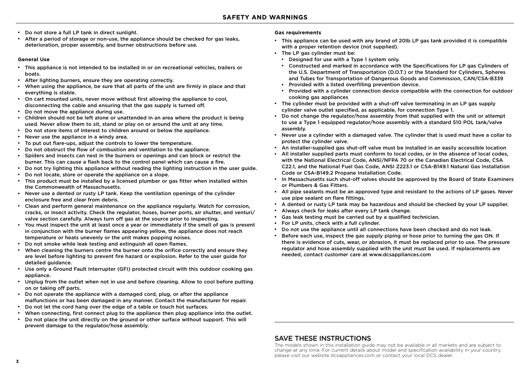- Do not store a full LP tank in direct sunlight.
- After a period of storage or non-use, the appliance should be checked for gas leaks, deterioration, proper assembly, and burner obstructions before use.

#### **General Use**

- This appliance is not intended to be installed in or on recreational vehicles, trailers or boats.
- After lighting burners, ensure they are operating correctly.
- When using the appliance, be sure that all parts of the unit are firmly in place and that everything is stable.
- On cart mounted units, never move without first allowing the appliance to cool, disconnecting the cable and ensuring that the gas supply is turned off.
- Do not move the appliance during use.
- Children should not be left alone or unattended in an area where the product is being used. Never allow them to sit, stand or play on or around the unit at any time.
- Do not store items of interest to children around or below the appliance.
- Never use the appliance in a windy area.
- To put out flare-ups, adjust the controls to lower the temperature.
- Do not obstruct the flow of combustion and ventilation to the appliance.
- Spiders and insects can nest in the burners or openings and can block or restrict the burner. This can cause a flash back to the control panel which can cause a fire.
- Do not try lighting this appliance without reading the lighting instruction in the user guide.
- Do not locate, store or operate the appliance on a slope.
- This product must be installed by a licensed plumber or gas fitter when installed within the Commonwealth of Massachusetts.
- Never use a dented or rusty LP tank. Keep the ventilation openings of the cylinder enclosure free and clear from debris.
- Clean and perform general maintenance on the appliance regularly. Watch for corrosion, cracks, or insect activity. Check the regulator, hoses, burner ports, air shutter, and venturi/ valve section carefully. Always turn off gas at the source prior to inspecting.
- You must inspect the unit at least once a year or immediately if the smell of gas is present in conjunction with the burner flames appearing yellow, the appliance does not reach temperature or heats unevenly or the unit makes popping noises.
- Do not smoke while leak testing and extinguish all open flames.
- When cleaning the burners centre the burner onto the orifice correctly and ensure they are level before lighting to prevent fire hazard or explosion. Refer to the user guide for detailed guidance.
- Use only a Ground Fault Interrupter (GFI) protected circuit with this outdoor cooking gas appliance.
- Unplug from the outlet when not in use and before cleaning. Allow to cool before putting on or taking off parts.
- Do not operate the appliance with a damaged cord, plug, or after the appliance malfunctions or has been damaged in any manner. Contact the manufacturer for repair.
- Do not let the cord hang over the edge of a table or touch hot surfaces.
- When connecting, first connect plug to the appliance then plug appliance into the outlet.
- Do not place the unit directly on the ground or other surface without support. This will prevent damage to the regulator/hose assembly.

### **Gas requirements**

- This appliance can be used with any brand of 20lb LP gas tank provided it is compatible with a proper retention device (not supplied).
- The LP gas cylinder must be:
	- Designed for use with a Type 1 system only.
	- Constructed and marked in accordance with the Specifications for LP gas Cylinders of the U.S. Department of Transportation (D.O.T.) or the Standard for Cylinders, Spheres and Tubes for Transportation of Dangerous Goods and Commission, CAN/CSA-B339
	- Provided with a listed overfilling prevention device.
	- Provided with a cylinder connection device compatible with the connection for outdoor cooking gas appliances
- The cylinder must be provided with a shut-off valve terminating in an LP gas supply cylinder valve outlet specified, as applicable, for connection Type 1.
- Do not change the regulator/hose assembly from that supplied with the unit or attempt to use a Type 1 equipped regulator/hose assembly with a standard 510 POL tank/valve assembly.
- Never use a cylinder with a damaged valve. The cylinder that is used must have a collar to protect the cylinder valve.
- An installer-supplied gas shut-off valve must be installed in an easily accessible location
- All installer supplied parts must conform to local codes, or in the absence of local codes, with the National Electrical Code, ANSI/NFPA 70 or the Canadian Electrical Code, CSA C22.1, and the National Fuel Gas Code, ANSI Z223.1 or CSA-B149.1 Natural Gas Installation Code or CSA-B149.2 Propane Installation Code.
- In Massachusetts such shut-off valves should be approved by the Board of State Examiners or Plumbers & Gas Fitters.
- All pipe sealants must be an approved type and resistant to the actions of LP gases. Never use pipe sealant on flare fittings.
- \* A dented or rusty LP tank may be hazardous and should be checked by your LP supplier.
- Always check for leaks after every LP tank change.
- Gas leak testing must be carried out by a qualified technician.
- For LP units, check with a full cylinder.
- Do not use the appliance until all connections have been checked and do not leak.
- Before each use, inspect the gas supply piping or hose prior to turning the gas ON. If there is evidence of cuts, wear, or abrasion, it must be replaced prior to use. The pressure regulator and hose assembly supplied with the unit must be used. If replacements are needed, contact customer care at www.dcsappliances.com

### SAVE THESE INSTRUCTIONS

The models shown in this installation guide may not be available in all markets and are subject to change at any time. For current details about model and specification availability in your country, please visit our website dcsappliances.com or contact your local DCS dealer.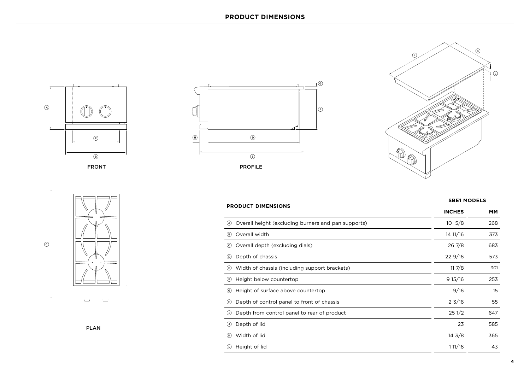









|                                                             |                  | <b>SBE1 MODELS</b> |  |
|-------------------------------------------------------------|------------------|--------------------|--|
| <b>PRODUCT DIMENSIONS</b>                                   | <b>INCHES</b>    | <b>MM</b>          |  |
| Overall height (excluding burners and pan supports)<br>(A)  | $10 \t5/8$       | 268                |  |
| Overall width<br>(B)                                        | 14 11/16         | 373                |  |
| Overall depth (excluding dials)<br>(c)                      | $26\frac{7}{8}$  | 683                |  |
| Depth of chassis<br>$\circledcirc$                          | 22 9/16          | 573                |  |
| (E) Width of chassis (including support brackets)           | 117/8            | 301                |  |
| Height below countertop<br>(F)                              | 915/16           | 253                |  |
| Height of surface above countertop<br>$\left( 6\right)$     | 9/16             | 15                 |  |
| Depth of control panel to front of chassis<br>$\odot$       | $2 \frac{3}{16}$ | 55                 |  |
| $\mathbf{r}$<br>Depth from control panel to rear of product | 251/2            | 647                |  |
| Depth of lid<br>$\left( \mathsf{r}\right)$                  | 23               | 585                |  |
| Width of lid<br>$(\kappa)$                                  | $14 \frac{3}{8}$ | 365                |  |
| $\circledcirc$<br>Height of lid                             | 111/16           | 43                 |  |
|                                                             |                  |                    |  |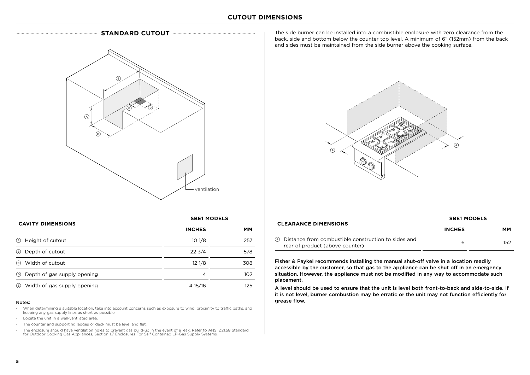



|                                      | <b>SBE1 MODELS</b> |           |
|--------------------------------------|--------------------|-----------|
| <b>CAVITY DIMENSIONS</b>             | <b>INCHES</b>      | <b>MM</b> |
| (A) Height of cutout                 | 101/8              | 257       |
| (B) Depth of cutout                  | $22 \frac{3}{4}$   | 578       |
| $\odot$<br>Width of cutout           | 121/8              | 308       |
| <b>E</b> Depth of gas supply opening | 4                  | 102       |
| U) Width of gas supply opening       | 4 15/16            | 125       |

#### Notes:

- When determining a suitable location, take into account concerns such as exposure to wind, proximity to traffic paths, and keeping any gas supply lines as short as possible.
- Locate the unit in a well-ventilated area.
- The counter and supporting ledges or deck must be level and flat.
- The enclosure should have ventilation holes to prevent gas build-up in the event of a leak. Refer to ANSI Z21.58 Standard for Outdoor Cooking Gas Appliances, Section 1.7 Enclosures For Self Contained LP-Gas Supply Systems.

The side burner can be installed into a combustible enclosure with zero clearance from the back, side and bottom below the counter top level. A minimum of 6" (152mm) from the back and sides must be maintained from the side burner above the cooking surface.



|                                                                                            | <b>SBE1 MODELS</b><br><b>INCHES</b><br>MМ |     |
|--------------------------------------------------------------------------------------------|-------------------------------------------|-----|
| <b>CLEARANCE DIMENSIONS</b>                                                                |                                           |     |
| (A) Distance from combustible construction to sides and<br>rear of product (above counter) | 6                                         | 152 |

Fisher & Paykel recommends installing the manual shut-off valve in a location readily accessible by the customer, so that gas to the appliance can be shut off in an emergency situation. However, the appliance must not be modified in any way to accommodate such placement.

A level should be used to ensure that the unit is level both front-to-back and side-to-side. If it is not level, burner combustion may be erratic or the unit may not function efficiently for grease flow.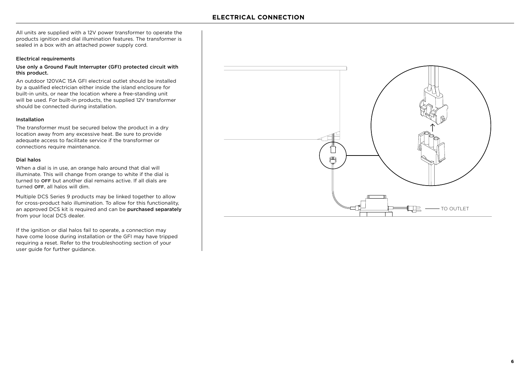All units are supplied with a 12V power transformer to operate the products ignition and dial illumination features. The transformer is sealed in a box with an attached power supply cord.

#### Electrical requirements

### Use only a Ground Fault Interrupter (GFI) protected circuit with this product.

An outdoor 120VAC 15A GFI electrical outlet should be installed by a qualified electrician either inside the island enclosure for built-in units, or near the location where a free-standing unit will be used. For built-in products, the supplied 12V transformer should be connected during installation.

#### Installation

The transformer must be secured below the product in a dry location away from any excessive heat. Be sure to provide adequate access to facilitate service if the transformer or connections require maintenance.

#### Dial halos

When a dial is in use, an orange halo around that dial will illuminate. This will change from orange to white if the dial is turned to OFF but another dial remains active. If all dials are turned OFF, all halos will dim.

Multiple DCS Series 9 products may be linked together to allow for cross-product halo illumination. To allow for this functionality, an approved DCS kit is required and can be purchased separately from your local DCS dealer.

If the ignition or dial halos fail to operate, a connection may have come loose during installation or the GFI may have tripped requiring a reset. Refer to the troubleshooting section of your user guide for further guidance.

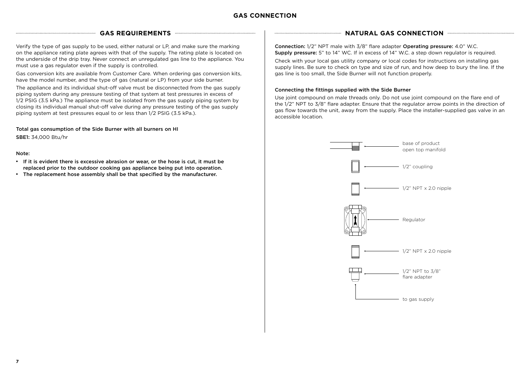### **GAS CONNECTION**

Verify the type of gas supply to be used, either natural or LP, and make sure the marking on the appliance rating plate agrees with that of the supply. The rating plate is located on the underside of the drip tray. Never connect an unregulated gas line to the appliance. You must use a gas regulator even if the supply is controlled.

Gas conversion kits are available from Customer Care. When ordering gas conversion kits, have the model number, and the type of gas (natural or LP) from your side burner.

The appliance and its individual shut-off valve must be disconnected from the gas supply piping system during any pressure testing of that system at test pressures in excess of 1/2 PSIG (3.5 kPa.) The appliance must be isolated from the gas supply piping system by closing its individual manual shut-off valve during any pressure testing of the gas supply piping system at test pressures equal to or less than 1/2 PSIG (3.5 kPa.).

Total gas consumption of the Side Burner with all burners on HI SBE1: 34,000 Btu/hr

### Note:

- If it is evident there is excessive abrasion or wear, or the hose is cut, it must be replaced prior to the outdoor cooking gas appliance being put into operation.
- The replacement hose assembly shall be that specified by the manufacturer.

### GAS REQUIREMENTS **And the CONNECTION NATURAL GAS CONNECTION**

Connection: 1/2" NPT male with 3/8" flare adapter Operating pressure: 4.0" W.C. Supply pressure: 5" to 14" WC. If in excess of 14" W.C. a step down regulator is required.

Check with your local gas utility company or local codes for instructions on installing gas supply lines. Be sure to check on type and size of run, and how deep to bury the line. If the gas line is too small, the Side Burner will not function properly.

### Connecting the fittings supplied with the Side Burner

Use joint compound on male threads only. Do not use joint compound on the flare end of the 1/2" NPT to 3/8" flare adapter. Ensure that the regulator arrow points in the direction of gas flow towards the unit, away from the supply. Place the installer-supplied gas valve in an accessible location.

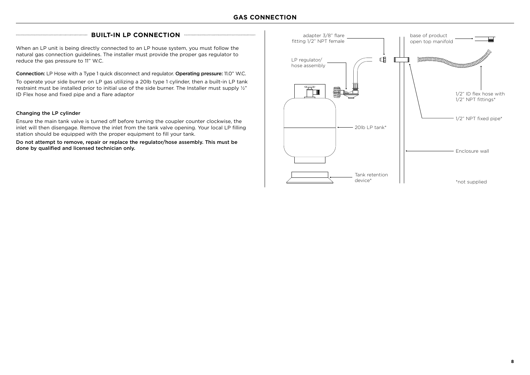### **BUILT-IN LP CONNECTION EXECUTION CONNECTION**

When an LP unit is being directly connected to an LP house system, you must follow the natural gas connection guidelines. The installer must provide the proper gas regulator to reduce the gas pressure to 11" W.C. **Example 2008** 2012 12:00 and the gas pressure to 11" W.C.

Connection: LP Hose with a Type 1 quick disconnect and regulator. Operating pressure: 11.0" W.C.

To operate your side burner on LP gas utilizing a 20lb type 1 cylinder, then a built-in LP tank restraint must be installed prior to initial use of the side burner. The Installer must supply ½" ID Flex hose and fixed pipe and a flare adaptor

#### Changing the LP cylinder

Ensure the main tank valve is turned off before turning the coupler counter clockwise, the inlet will then disengage. Remove the inlet from the tank valve opening. Your local LP filling station should be equipped with the proper equipment to fill your tank.

Do not attempt to remove, repair or replace the regulator/hose assembly. This must be done by qualified and licensed technician only.

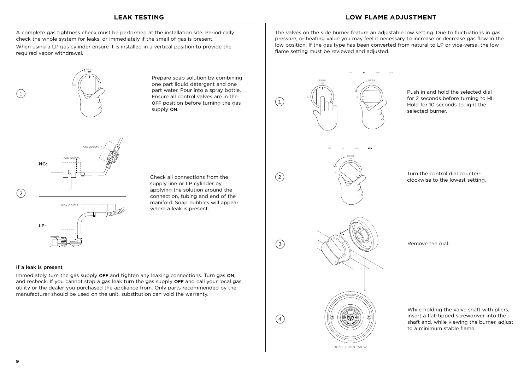### **LEAK TESTING LOW FLAME ADJUSTMENT**

A complete gas tightness check must be performed at the installation site. Periodically check the whole system for leaks, or immediately if the smell of gas is present.

When using a LP gas cylinder ensure it is installed in a vertical position to provide the required vapor withdrawal.



Prepare soap solution by combining one part liquid detergent and one part water. Pour into a spray bottle. Ensure all control valves are in the OFF position before turning the gas supply ON.



Check all connections from the supply line or LP cylinder by applying the solution around the connection, tubing and end of the manifold. Soap bubbles will appear where a leak is present.

#### If a leak is present

 $\left(1\right)$ 

Immediately turn the gas supply OFF and tighten any leaking connections. Turn gas ON, and recheck. If you cannot stop a gas leak turn the gas supply OFF and call your local gas utility or the dealer you purchased the appliance from. Only parts recommended by the manufacturer should be used on the unit, substitution can void the warranty.

The valves on the side burner feature an adjustable low setting. Due to fluctuations in gas pressure, or heating value you may feel it necessary to increase or decrease gas flow in the low position. If the gas type has been converted from natural to LP or vice-versa, the low flame setting must be reviewed and adjusted.



Push in and hold the selected dial for 2 seconds before turning to HI. Hold for 10 seconds to light the selected burner.



Turn the control dial counterclockwise to the lowest setting.



 $\binom{3}{ }$ 

 $\left( 2\right)$ 

 $\binom{4}{4}$ 



Remove the dial.

While holding the valve shaft with pliers, insert a flat-tipped screwdriver into the shaft and, while viewing the burner, adjust to a minimum stable flame.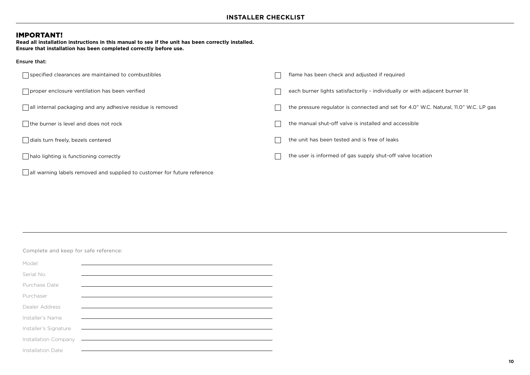### IMPORTANT!

Ensure that:

**Read all installation instructions in this manual to see if the unit has been correctly installed. Ensure that installation has been completed correctly before use.**

| $\Box$ specified clearances are maintained to combustibles               | flame has been check and adjusted if required                                        |  |
|--------------------------------------------------------------------------|--------------------------------------------------------------------------------------|--|
| □ proper enclosure ventilation has been verified                         | each burner lights satisfactorily - individually or with adjacent burner lit         |  |
| all internal packaging and any adhesive residue is removed               | the pressure regulator is connected and set for 4.0" W.C. Natural, 11.0" W.C. LP gas |  |
| the burner is level and does not rock                                    | the manual shut-off valve is installed and accessible                                |  |
| dials turn freely, bezels centered                                       | the unit has been tested and is free of leaks                                        |  |
| halo lighting is functioning correctly                                   | the user is informed of gas supply shut-off valve location                           |  |
| all warning labels removed and supplied to customer for future reference |                                                                                      |  |

Complete and keep for safe reference:

| Model                 |  |  |
|-----------------------|--|--|
| Serial No.            |  |  |
| Purchase Date         |  |  |
|                       |  |  |
| Purchaser             |  |  |
| Dealer Address        |  |  |
| Installer's Name      |  |  |
| Installer's Signature |  |  |
| Installation Company  |  |  |
| Installation Date     |  |  |
|                       |  |  |